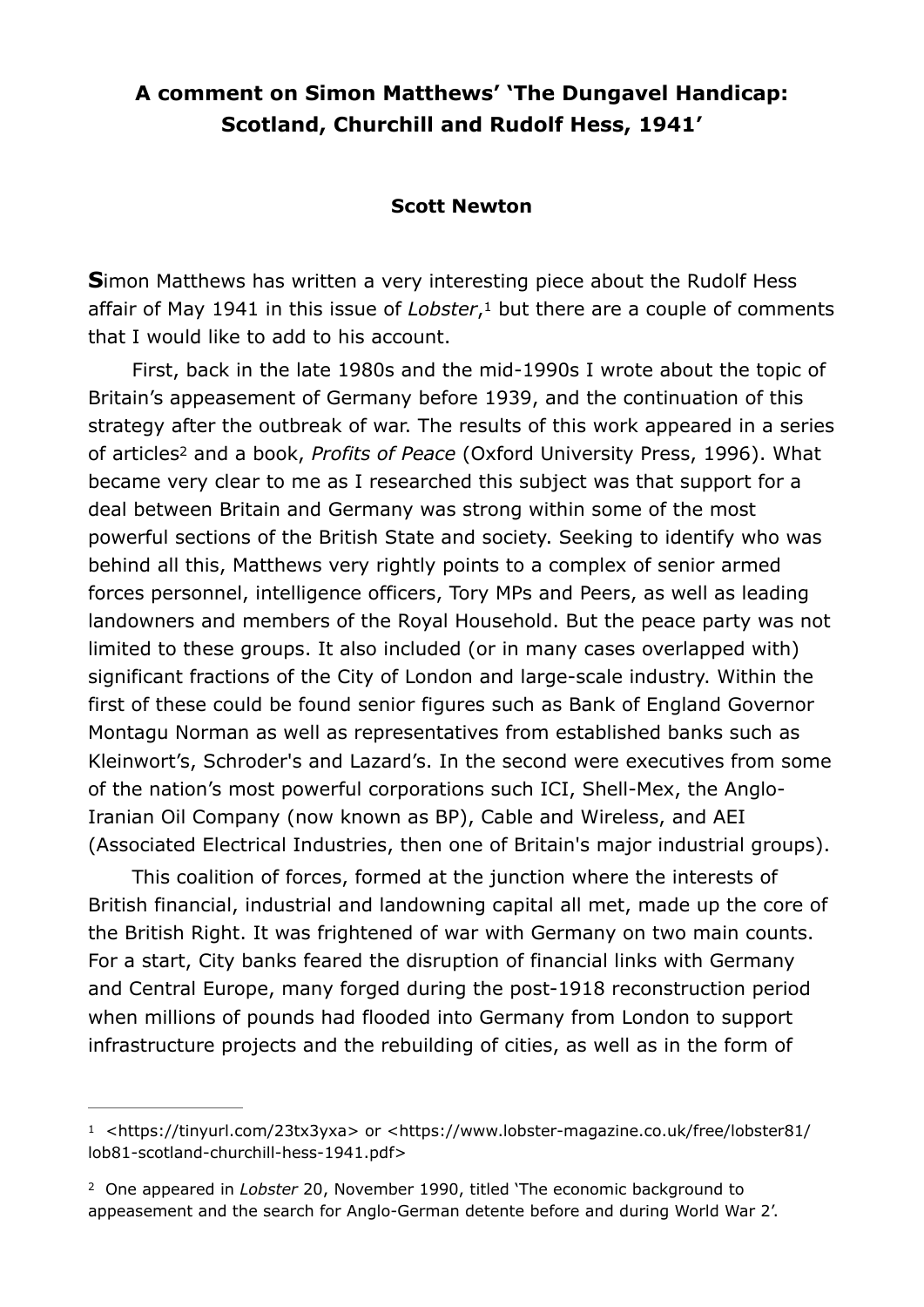## **A comment on Simon Matthews' 'The Dungavel Handicap: Scotland, Churchill and Rudolf Hess, 1941'**

## <span id="page-0-2"></span>**Scott Newton**

**S**imon Matthews has written a very interesting piece about the Rudolf Hess affairof May [1](#page-0-0)941 in this issue of *Lobster*,<sup>1</sup> but there are a couple of comments that I would like to add to his account.

<span id="page-0-3"></span>First, back in the late 1980s and the mid-1990s I wrote about the topic of Britain's appeasement of Germany before 1939, and the continuation of this strategy after the outbreak of war. The results of this work appeared in a series ofarticles<sup>2</sup> and a book, *Profits of Peace* (Oxford University Press, 1996). What became very clear to me as I researched this subject was that support for a deal between Britain and Germany was strong within some of the most powerful sections of the British State and society. Seeking to identify who was behind all this, Matthews very rightly points to a complex of senior armed forces personnel, intelligence officers, Tory MPs and Peers, as well as leading landowners and members of the Royal Household. But the peace party was not limited to these groups. It also included (or in many cases overlapped with) significant fractions of the City of London and large-scale industry. Within the first of these could be found senior figures such as Bank of England Governor Montagu Norman as well as representatives from established banks such as Kleinwort's, Schroder's and Lazard's. In the second were executives from some of the nation's most powerful corporations such ICI, Shell-Mex, the Anglo-Iranian Oil Company (now known as BP), Cable and Wireless, and AEI (Associated Electrical Industries, then one of Britain's major industrial groups).

This coalition of forces, formed at the junction where the interests of British financial, industrial and landowning capital all met, made up the core of the British Right. It was frightened of war with Germany on two main counts. For a start, City banks feared the disruption of financial links with Germany and Central Europe, many forged during the post-1918 reconstruction period when millions of pounds had flooded into Germany from London to support infrastructure projects and the rebuilding of cities, as well as in the form of

<span id="page-0-0"></span><sup>&</sup>lt;sup>1</sup> [<https://tinyurl.com/23tx3yxa>](https://tinyurl.com/23tx3yxa) or [<https://www.lobster-magazine.co.uk/free/lobster81/](https://www.lobster-magazine.co.uk/free/lobster81/lob81-scotland-churchill-hess-1941.pdf) [lob81-scotland-churchill-hess-1941.pdf](https://www.lobster-magazine.co.uk/free/lobster81/lob81-scotland-churchill-hess-1941.pdf)>

<span id="page-0-1"></span><sup>&</sup>lt;sup>[2](#page-0-3)</sup> One appeared in *Lobster* 20, November 1990, titled 'The economic background to appeasement and the search for Anglo-German detente before and during World War 2'.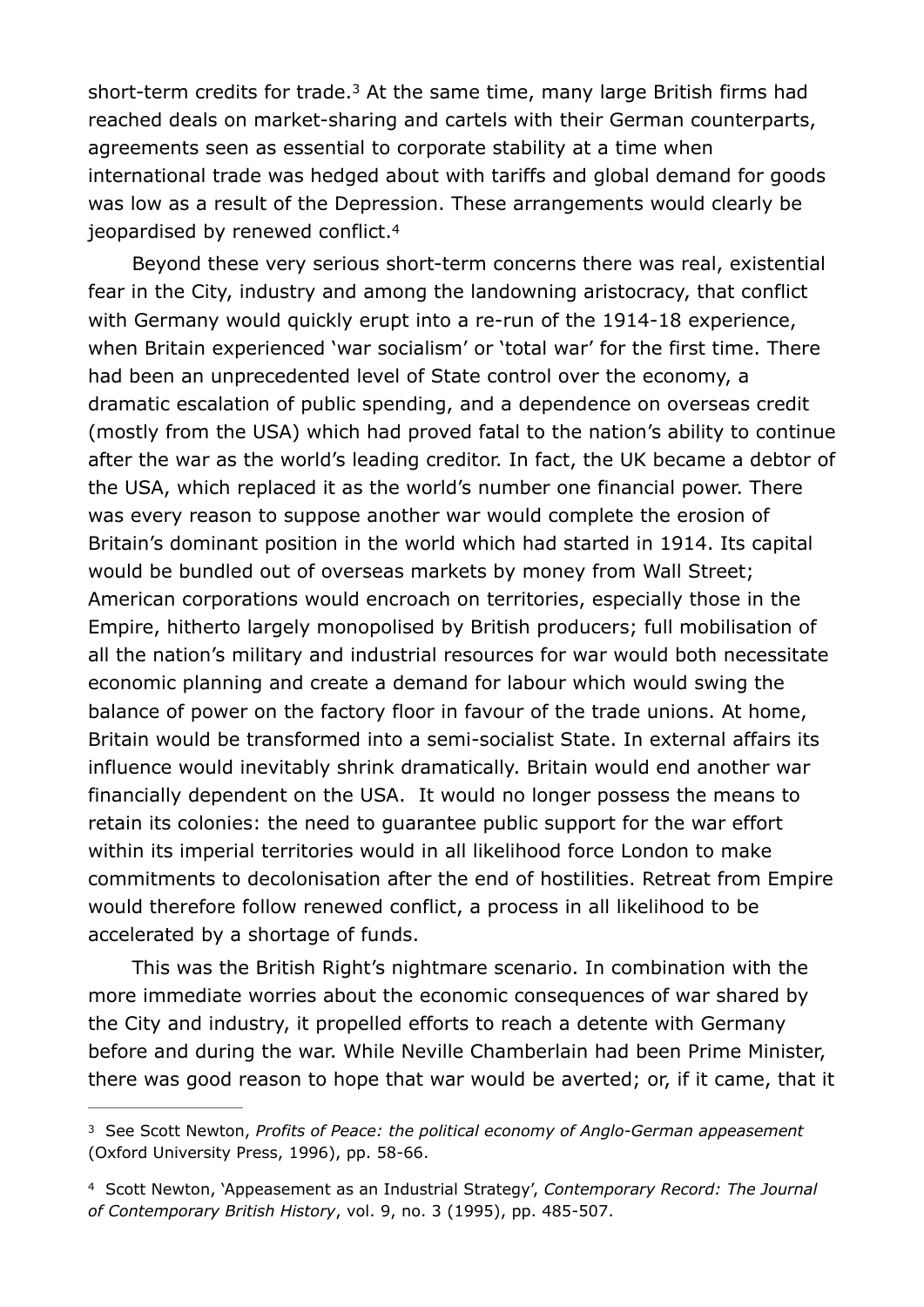<span id="page-1-2"></span>short-term credits for trade.<sup>[3](#page-1-0)</sup> At the same time, many large British firms had reached deals on market-sharing and cartels with their German counterparts, agreements seen as essential to corporate stability at a time when international trade was hedged about with tariffs and global demand for goods was low as a result of the Depression. These arrangements would clearly be jeopardised by renewed conflict. [4](#page-1-1)

<span id="page-1-3"></span>Beyond these very serious short-term concerns there was real, existential fear in the City, industry and among the landowning aristocracy, that conflict with Germany would quickly erupt into a re-run of the 1914-18 experience, when Britain experienced 'war socialism' or 'total war' for the first time. There had been an unprecedented level of State control over the economy, a dramatic escalation of public spending, and a dependence on overseas credit (mostly from the USA) which had proved fatal to the nation's ability to continue after the war as the world's leading creditor. In fact, the UK became a debtor of the USA, which replaced it as the world's number one financial power. There was every reason to suppose another war would complete the erosion of Britain's dominant position in the world which had started in 1914. Its capital would be bundled out of overseas markets by money from Wall Street; American corporations would encroach on territories, especially those in the Empire, hitherto largely monopolised by British producers; full mobilisation of all the nation's military and industrial resources for war would both necessitate economic planning and create a demand for labour which would swing the balance of power on the factory floor in favour of the trade unions. At home, Britain would be transformed into a semi-socialist State. In external affairs its influence would inevitably shrink dramatically. Britain would end another war financially dependent on the USA. It would no longer possess the means to retain its colonies: the need to guarantee public support for the war effort within its imperial territories would in all likelihood force London to make commitments to decolonisation after the end of hostilities. Retreat from Empire would therefore follow renewed conflict, a process in all likelihood to be accelerated by a shortage of funds.

This was the British Right's nightmare scenario. In combination with the more immediate worries about the economic consequences of war shared by the City and industry, it propelled efforts to reach a detente with Germany before and during the war. While Neville Chamberlain had been Prime Minister, there was good reason to hope that war would be averted; or, if it came, that it

<span id="page-1-0"></span><sup>&</sup>lt;sup>[3](#page-1-2)</sup> See Scott Newton, *Profits of Peace: the political economy of Anglo-German appeasement* (Oxford University Press, 1996), pp. 58-66.

<span id="page-1-1"></span>Scott Newton, 'Appeasement as an Industrial Strategy', *Contemporary Record: The Journal* [4](#page-1-3) *of Contemporary British History*, vol. 9, no. 3 (1995), pp. 485-507.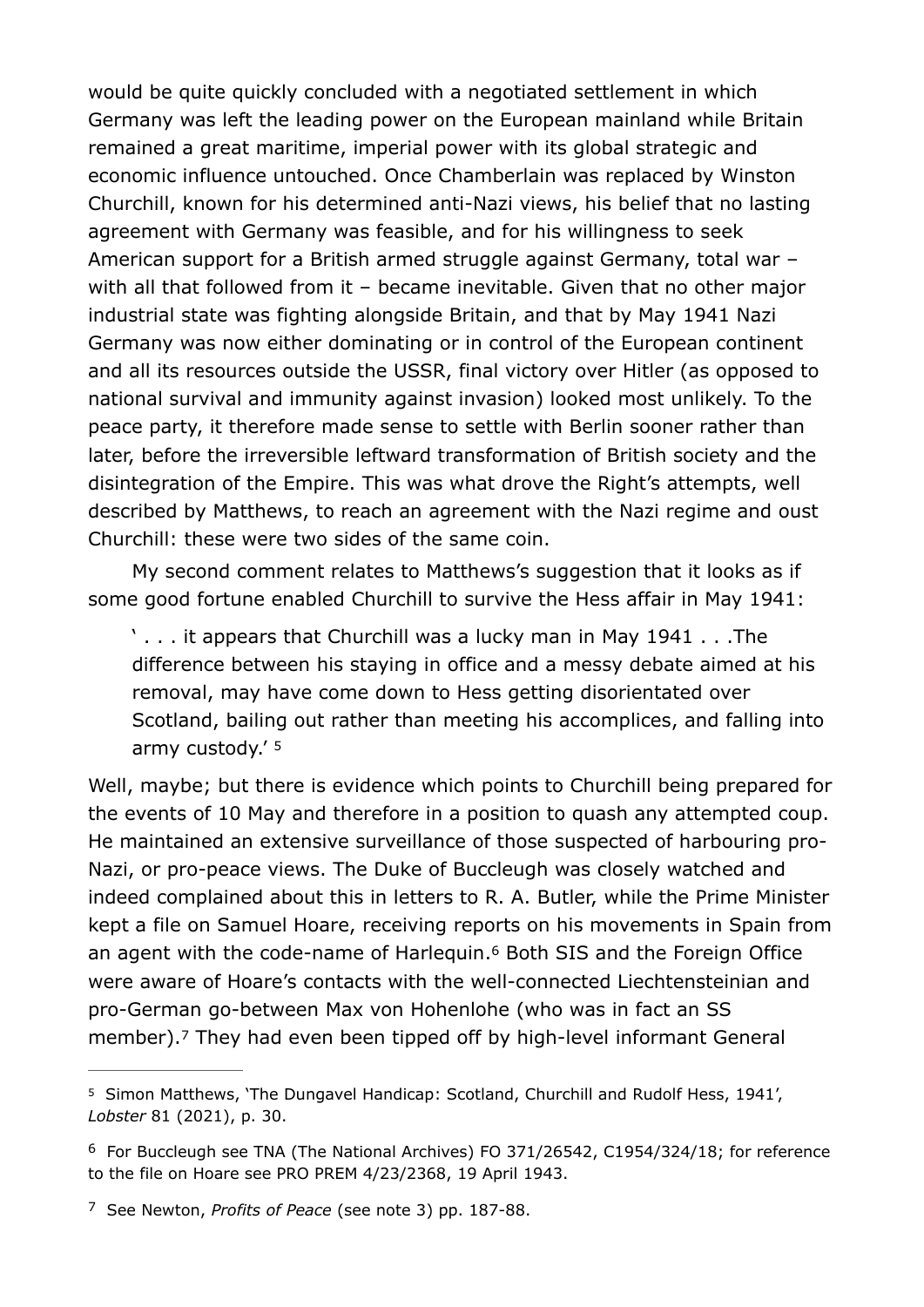would be quite quickly concluded with a negotiated settlement in which Germany was left the leading power on the European mainland while Britain remained a great maritime, imperial power with its global strategic and economic influence untouched. Once Chamberlain was replaced by Winston Churchill, known for his determined anti-Nazi views, his belief that no lasting agreement with Germany was feasible, and for his willingness to seek American support for a British armed struggle against Germany, total war – with all that followed from it - became inevitable. Given that no other major industrial state was fighting alongside Britain, and that by May 1941 Nazi Germany was now either dominating or in control of the European continent and all its resources outside the USSR, final victory over Hitler (as opposed to national survival and immunity against invasion) looked most unlikely. To the peace party, it therefore made sense to settle with Berlin sooner rather than later, before the irreversible leftward transformation of British society and the disintegration of the Empire. This was what drove the Right's attempts, well described by Matthews, to reach an agreement with the Nazi regime and oust Churchill: these were two sides of the same coin.

My second comment relates to Matthews's suggestion that it looks as if some good fortune enabled Churchill to survive the Hess affair in May 1941:

<span id="page-2-3"></span> ' . . . it appears that Churchill was a lucky man in May 1941 . . .The difference between his staying in office and a messy debate aimed at his removal, may have come down to Hess getting disorientated over Scotland, bailing out rather than meeting his accomplices, and falling into army custody.' [5](#page-2-0)

Well, maybe; but there is evidence which points to Churchill being prepared for the events of 10 May and therefore in a position to quash any attempted coup. He maintained an extensive surveillance of those suspected of harbouring pro-Nazi, or pro-peace views. The Duke of Buccleugh was closely watched and indeed complained about this in letters to R. A. Butler, while the Prime Minister kept a file on Samuel Hoare, receiving reports on his movements in Spain from anagent with the code-name of Harleguin.<sup>[6](#page-2-1)</sup> Both SIS and the Foreign Office were aware of Hoare's contacts with the well-connected Liechtensteinian and pro-German go-between Max von Hohenlohe (who was in fact an SS member).<sup>7</sup>They had even been tipped off by high-level informant General

<span id="page-2-5"></span><span id="page-2-4"></span><span id="page-2-0"></span><sup>5</sup>Simon Matthews, 'The Dungavel Handicap: Scotland, Churchill and Rudolf Hess, 1941', *Lobster* 81 (2021), p. 30.

<span id="page-2-1"></span><sup>&</sup>lt;sup>6</sup>For Buccleugh see TNA (The National Archives) FO 371/2[6](#page-2-4)542, C1954/324/18; for reference to the file on Hoare see PRO PREM 4/23/2368, 19 April 1943.

<span id="page-2-2"></span><sup>&</sup>lt;sup>[7](#page-2-5)</sup> See Newton, *Profits of Peace* (see note 3) pp. 187-88.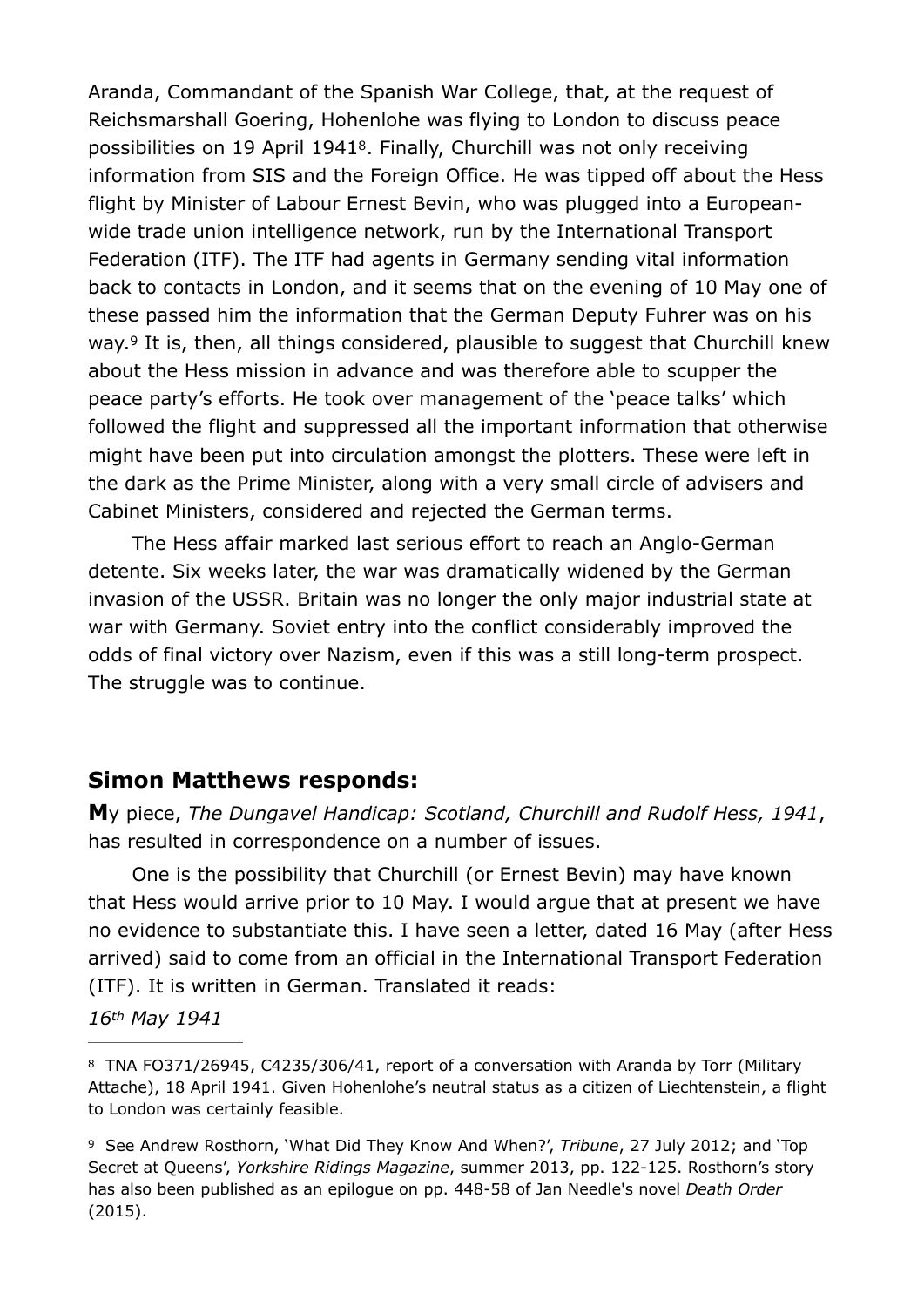<span id="page-3-2"></span>Aranda, Commandant of the Spanish War College, that, at the request of Reichsmarshall Goering, Hohenlohe was flying to London to discuss peace possibilities on 19 April 1941<sup>[8](#page-3-0)</sup>. Finally, Churchill was not only receiving information from SIS and the Foreign Office. He was tipped off about the Hess flight by Minister of Labour Ernest Bevin, who was plugged into a Europeanwide trade union intelligence network, run by the International Transport Federation (ITF). The ITF had agents in Germany sending vital information back to contacts in London, and it seems that on the evening of 10 May one of these passed him the information that the German Deputy Fuhrer was on his way.<sup>9</sup>It is, then, all things considered, plausible to suggest that Churchill knew about the Hess mission in advance and was therefore able to scupper the peace party's efforts. He took over management of the 'peace talks' which followed the flight and suppressed all the important information that otherwise might have been put into circulation amongst the plotters. These were left in the dark as the Prime Minister, along with a very small circle of advisers and Cabinet Ministers, considered and rejected the German terms.

<span id="page-3-3"></span>The Hess affair marked last serious effort to reach an Anglo-German detente. Six weeks later, the war was dramatically widened by the German invasion of the USSR. Britain was no longer the only major industrial state at war with Germany. Soviet entry into the conflict considerably improved the odds of final victory over Nazism, even if this was a still long-term prospect. The struggle was to continue.

## **Simon Matthews responds:**

**M**y piece, *The Dungavel Handicap: Scotland, Churchill and Rudolf Hess, 1941*, has resulted in correspondence on a number of issues.

One is the possibility that Churchill (or Ernest Bevin) may have known that Hess would arrive prior to 10 May. I would argue that at present we have no evidence to substantiate this. I have seen a letter, dated 16 May (after Hess arrived) said to come from an official in the International Transport Federation (ITF). It is written in German. Translated it reads:

## *16th May 1941*

<span id="page-3-0"></span>TNA FO371/26945, C4235/306/41, report of a conversation with Aranda by Torr (Military [8](#page-3-2) Attache), 18 April 1941. Given Hohenlohe's neutral status as a citizen of Liechtenstein, a flight to London was certainly feasible.

<span id="page-3-1"></span><sup>&</sup>lt;sup>[9](#page-3-3)</sup> See Andrew Rosthorn, 'What Did They Know And When?', *Tribune*, 27 July 2012; and 'Top Secret at Queens', *Yorkshire Ridings Magazine*, summer 2013, pp. 122-125. Rosthorn's story has also been published as an epilogue on pp. 448-58 of Jan Needle's novel *Death Order* (2015).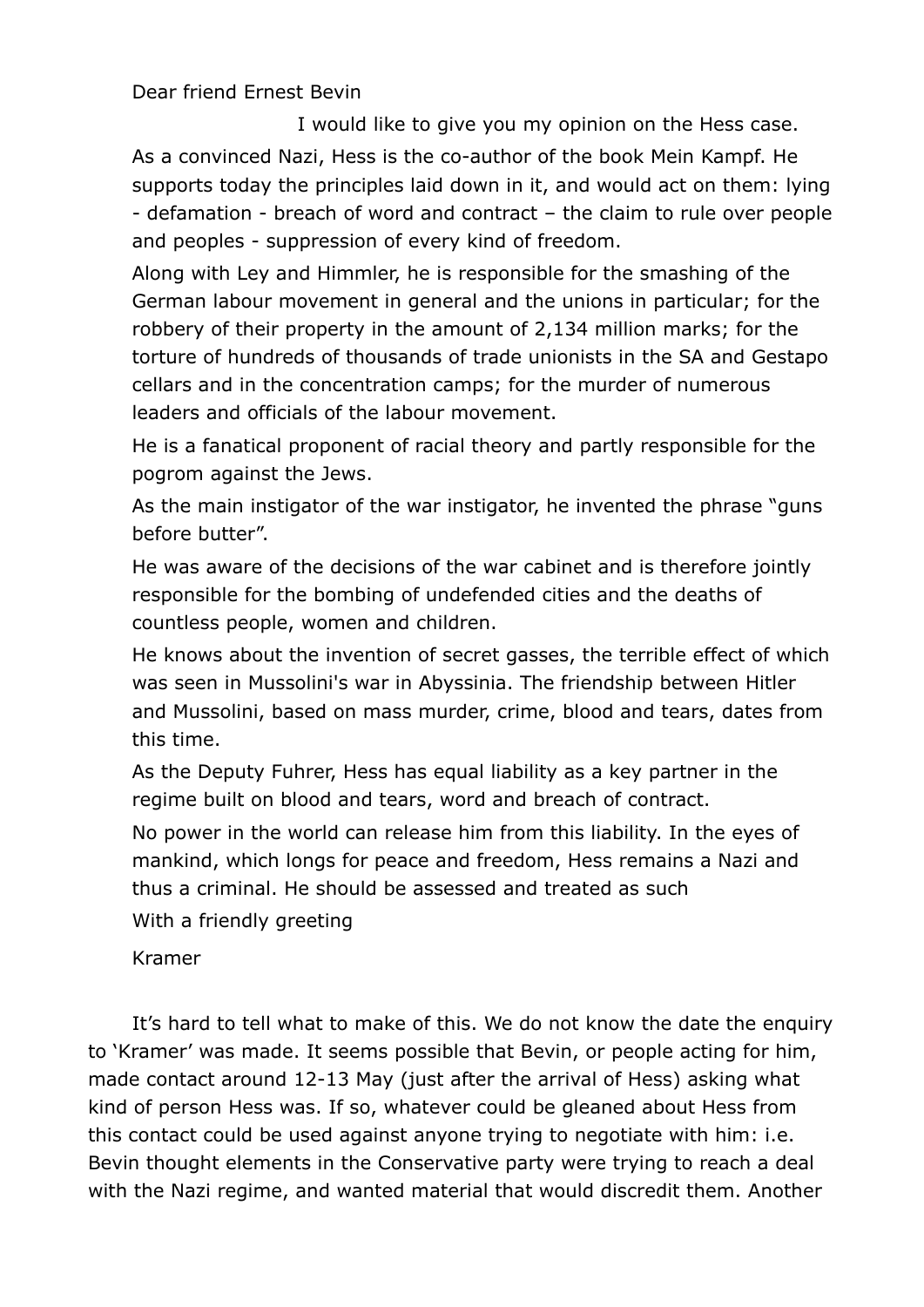Dear friend Ernest Bevin

 I would like to give you my opinion on the Hess case. As a convinced Nazi, Hess is the co-author of the book Mein Kampf. He supports today the principles laid down in it, and would act on them: lying - defamation - breach of word and contract – the claim to rule over people and peoples - suppression of every kind of freedom.

Along with Ley and Himmler, he is responsible for the smashing of the German labour movement in general and the unions in particular; for the robbery of their property in the amount of 2,134 million marks; for the torture of hundreds of thousands of trade unionists in the SA and Gestapo cellars and in the concentration camps; for the murder of numerous leaders and officials of the labour movement.

He is a fanatical proponent of racial theory and partly responsible for the pogrom against the Jews.

As the main instigator of the war instigator, he invented the phrase "guns before butter".

He was aware of the decisions of the war cabinet and is therefore jointly responsible for the bombing of undefended cities and the deaths of countless people, women and children.

He knows about the invention of secret gasses, the terrible effect of which was seen in Mussolini's war in Abyssinia. The friendship between Hitler and Mussolini, based on mass murder, crime, blood and tears, dates from this time.

As the Deputy Fuhrer, Hess has equal liability as a key partner in the regime built on blood and tears, word and breach of contract.

No power in the world can release him from this liability. In the eyes of mankind, which longs for peace and freedom, Hess remains a Nazi and thus a criminal. He should be assessed and treated as such

With a friendly greeting

Kramer

It's hard to tell what to make of this. We do not know the date the enquiry to 'Kramer' was made. It seems possible that Bevin, or people acting for him, made contact around 12-13 May (just after the arrival of Hess) asking what kind of person Hess was. If so, whatever could be gleaned about Hess from this contact could be used against anyone trying to negotiate with him: i.e. Bevin thought elements in the Conservative party were trying to reach a deal with the Nazi regime, and wanted material that would discredit them. Another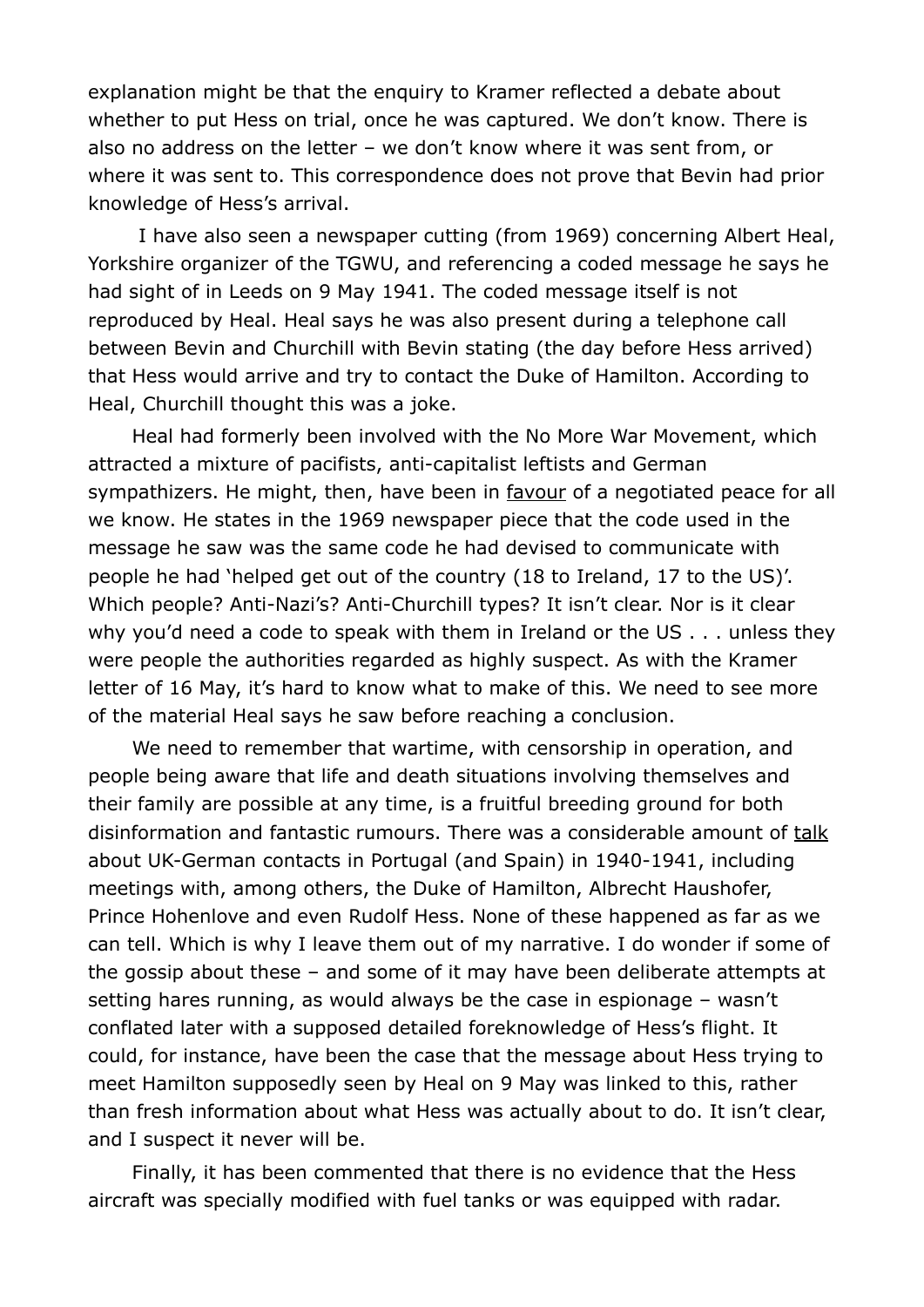explanation might be that the enquiry to Kramer reflected a debate about whether to put Hess on trial, once he was captured. We don't know. There is also no address on the letter – we don't know where it was sent from, or where it was sent to. This correspondence does not prove that Bevin had prior knowledge of Hess's arrival.

 I have also seen a newspaper cutting (from 1969) concerning Albert Heal, Yorkshire organizer of the TGWU, and referencing a coded message he says he had sight of in Leeds on 9 May 1941. The coded message itself is not reproduced by Heal. Heal says he was also present during a telephone call between Bevin and Churchill with Bevin stating (the day before Hess arrived) that Hess would arrive and try to contact the Duke of Hamilton. According to Heal, Churchill thought this was a joke.

Heal had formerly been involved with the No More War Movement, which attracted a mixture of pacifists, anti-capitalist leftists and German sympathizers. He might, then, have been in favour of a negotiated peace for all we know. He states in the 1969 newspaper piece that the code used in the message he saw was the same code he had devised to communicate with people he had 'helped get out of the country (18 to Ireland, 17 to the US)'. Which people? Anti-Nazi's? Anti-Churchill types? It isn't clear. Nor is it clear why you'd need a code to speak with them in Ireland or the US . . . unless they were people the authorities regarded as highly suspect. As with the Kramer letter of 16 May, it's hard to know what to make of this. We need to see more of the material Heal says he saw before reaching a conclusion.

We need to remember that wartime, with censorship in operation, and people being aware that life and death situations involving themselves and their family are possible at any time, is a fruitful breeding ground for both disinformation and fantastic rumours. There was a considerable amount of talk about UK-German contacts in Portugal (and Spain) in 1940-1941, including meetings with, among others, the Duke of Hamilton, Albrecht Haushofer, Prince Hohenlove and even Rudolf Hess. None of these happened as far as we can tell. Which is why I leave them out of my narrative. I do wonder if some of the gossip about these – and some of it may have been deliberate attempts at setting hares running, as would always be the case in espionage – wasn't conflated later with a supposed detailed foreknowledge of Hess's flight. It could, for instance, have been the case that the message about Hess trying to meet Hamilton supposedly seen by Heal on 9 May was linked to this, rather than fresh information about what Hess was actually about to do. It isn't clear, and I suspect it never will be.

Finally, it has been commented that there is no evidence that the Hess aircraft was specially modified with fuel tanks or was equipped with radar.